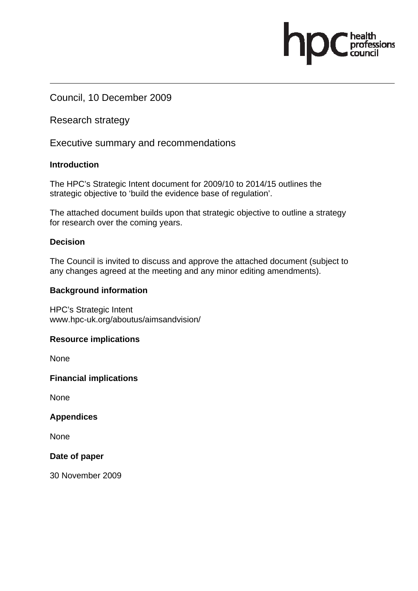Council, 10 December 2009

Research strategy

Executive summary and recommendations

## **Introduction**

The HPC's Strategic Intent document for 2009/10 to 2014/15 outlines the strategic objective to 'build the evidence base of regulation'.

The attached document builds upon that strategic objective to outline a strategy for research over the coming years.

ofessions

## **Decision**

The Council is invited to discuss and approve the attached document (subject to any changes agreed at the meeting and any minor editing amendments).

## **Background information**

HPC's Strategic Intent www.hpc-uk.org/aboutus/aimsandvision/

## **Resource implications**

**None** 

**Financial implications** 

None

**Appendices** 

None

**Date of paper** 

30 November 2009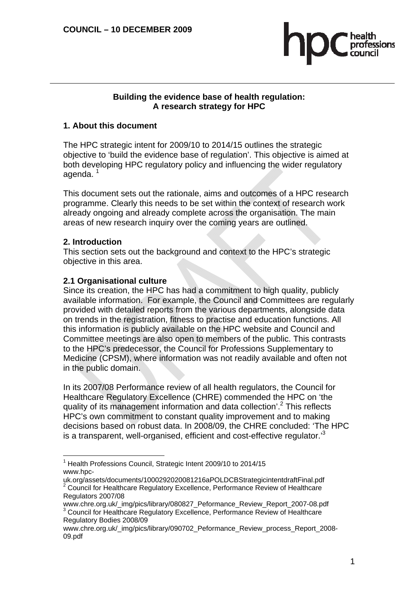

### **Building the evidence base of health regulation: A research strategy for HPC**

## **1. About this document**

The HPC strategic intent for 2009/10 to 2014/15 outlines the strategic objective to 'build the evidence base of regulation'. This objective is aimed at both developing HPC regulatory policy and influencing the wider regulatory agenda.<sup>1</sup>

This document sets out the rationale, aims and outcomes of a HPC research programme. Clearly this needs to be set within the context of research work already ongoing and already complete across the organisation. The main areas of new research inquiry over the coming years are outlined.

## **2. Introduction**

 $\overline{a}$ 

This section sets out the background and context to the HPC's strategic objective in this area.

## **2.1 Organisational culture**

Since its creation, the HPC has had a commitment to high quality, publicly available information. For example, the Council and Committees are regularly provided with detailed reports from the various departments, alongside data on trends in the registration, fitness to practise and education functions. All this information is publicly available on the HPC website and Council and Committee meetings are also open to members of the public. This contrasts to the HPC's predecessor, the Council for Professions Supplementary to Medicine (CPSM), where information was not readily available and often not in the public domain.

In its 2007/08 Performance review of all health regulators, the Council for Healthcare Regulatory Excellence (CHRE) commended the HPC on 'the quality of its management information and data collection'.<sup>2</sup> This reflects HPC's own commitment to constant quality improvement and to making decisions based on robust data. In 2008/09, the CHRE concluded: 'The HPC is a transparent, well-organised, efficient and cost-effective regulator. $3<sup>3</sup>$ 

<sup>&</sup>lt;sup>1</sup> Health Professions Council, Strategic Intent 2009/10 to 2014/15 www.hpc-

uk.org/assets/documents/1000292020081216aPOLDCBStrategicintentdraftFinal.pdf 2  $2$  Council for Healthcare Regulatory Excellence, Performance Review of Healthcare Regulators 2007/08

www.chre.org.uk/\_img/pics/library/080827\_Peformance\_Review\_Report\_2007-08.pdf <sup>3</sup> Council for Healthcare Regulatory Excellence, Performance Review of Healthcare Regulatory Bodies 2008/09

www.chre.org.uk/\_img/pics/library/090702\_Peformance\_Review\_process\_Report\_2008-09.pdf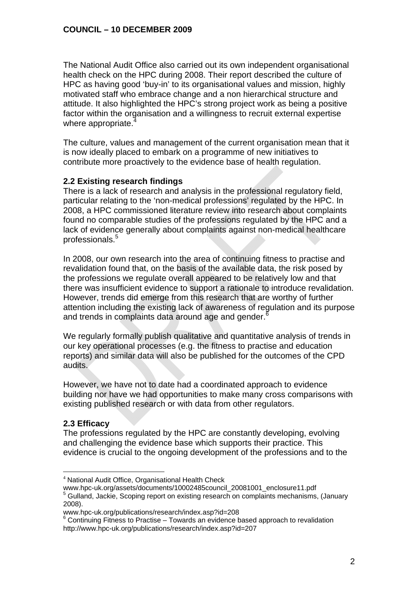The National Audit Office also carried out its own independent organisational health check on the HPC during 2008. Their report described the culture of HPC as having good 'buy-in' to its organisational values and mission, highly motivated staff who embrace change and a non hierarchical structure and attitude. It also highlighted the HPC's strong project work as being a positive factor within the organisation and a willingness to recruit external expertise where appropriate.

The culture, values and management of the current organisation mean that it is now ideally placed to embark on a programme of new initiatives to contribute more proactively to the evidence base of health regulation.

## **2.2 Existing research findings**

There is a lack of research and analysis in the professional regulatory field, particular relating to the 'non-medical professions' regulated by the HPC. In 2008, a HPC commissioned literature review into research about complaints found no comparable studies of the professions regulated by the HPC and a lack of evidence generally about complaints against non-medical healthcare professionals.<sup>5</sup>

In 2008, our own research into the area of continuing fitness to practise and revalidation found that, on the basis of the available data, the risk posed by the professions we regulate overall appeared to be relatively low and that there was insufficient evidence to support a rationale to introduce revalidation. However, trends did emerge from this research that are worthy of further attention including the existing lack of awareness of regulation and its purpose and trends in complaints data around age and gender.<sup>6</sup>

We regularly formally publish qualitative and quantitative analysis of trends in our key operational processes (e.g. the fitness to practise and education reports) and similar data will also be published for the outcomes of the CPD audits.

However, we have not to date had a coordinated approach to evidence building nor have we had opportunities to make many cross comparisons with existing published research or with data from other regulators.

# **2.3 Efficacy**

The professions regulated by the HPC are constantly developing, evolving and challenging the evidence base which supports their practice. This evidence is crucial to the ongoing development of the professions and to the

 $\overline{a}$ <sup>4</sup> National Audit Office, Organisational Health Check

www.hpc-uk.org/assets/documents/10002485council\_20081001\_enclosure11.pdf <sup>5</sup> Gulland, Jackie, Scoping report on existing research on complaints mechanisms, (January 2008).

www.hpc-uk.org/publications/research/index.asp?id=208 6

<sup>&</sup>lt;sup>6</sup> Continuing Fitness to Practise – Towards an evidence based approach to revalidation http://www.hpc-uk.org/publications/research/index.asp?id=207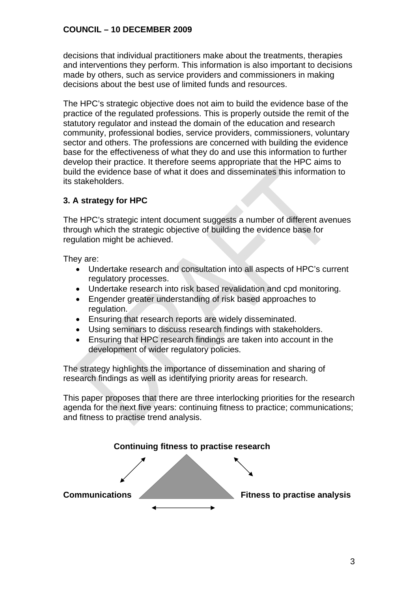decisions that individual practitioners make about the treatments, therapies and interventions they perform. This information is also important to decisions made by others, such as service providers and commissioners in making decisions about the best use of limited funds and resources.

The HPC's strategic objective does not aim to build the evidence base of the practice of the regulated professions. This is properly outside the remit of the statutory regulator and instead the domain of the education and research community, professional bodies, service providers, commissioners, voluntary sector and others. The professions are concerned with building the evidence base for the effectiveness of what they do and use this information to further develop their practice. It therefore seems appropriate that the HPC aims to build the evidence base of what it does and disseminates this information to its stakeholders.

# **3. A strategy for HPC**

The HPC's strategic intent document suggests a number of different avenues through which the strategic objective of building the evidence base for regulation might be achieved.

They are:

- Undertake research and consultation into all aspects of HPC's current regulatory processes.
- Undertake research into risk based revalidation and cpd monitoring.
- Engender greater understanding of risk based approaches to regulation.
- Ensuring that research reports are widely disseminated.
- Using seminars to discuss research findings with stakeholders.
- Ensuring that HPC research findings are taken into account in the development of wider regulatory policies.

The strategy highlights the importance of dissemination and sharing of research findings as well as identifying priority areas for research.

This paper proposes that there are three interlocking priorities for the research agenda for the next five years: continuing fitness to practice; communications; and fitness to practise trend analysis.

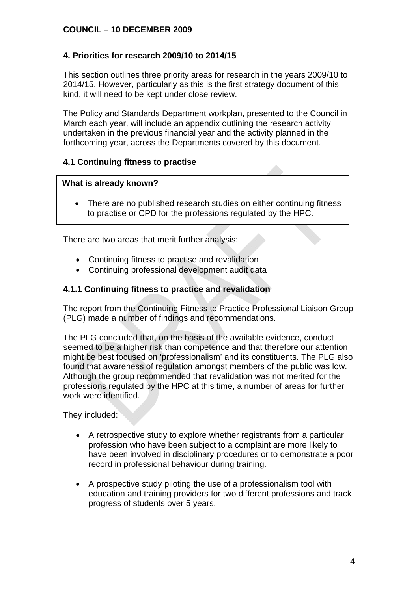# **4. Priorities for research 2009/10 to 2014/15**

This section outlines three priority areas for research in the years 2009/10 to 2014/15. However, particularly as this is the first strategy document of this kind, it will need to be kept under close review.

The Policy and Standards Department workplan, presented to the Council in March each year, will include an appendix outlining the research activity undertaken in the previous financial year and the activity planned in the forthcoming year, across the Departments covered by this document.

## **4.1 Continuing fitness to practise**

## **What is already known?**

• There are no published research studies on either continuing fitness to practise or CPD for the professions regulated by the HPC.

There are two areas that merit further analysis:

- Continuing fitness to practise and revalidation
- Continuing professional development audit data

## **4.1.1 Continuing fitness to practice and revalidation**

The report from the Continuing Fitness to Practice Professional Liaison Group (PLG) made a number of findings and recommendations.

The PLG concluded that, on the basis of the available evidence, conduct seemed to be a higher risk than competence and that therefore our attention might be best focused on 'professionalism' and its constituents. The PLG also found that awareness of regulation amongst members of the public was low. Although the group recommended that revalidation was not merited for the professions regulated by the HPC at this time, a number of areas for further work were identified.

They included:

- A retrospective study to explore whether registrants from a particular profession who have been subject to a complaint are more likely to have been involved in disciplinary procedures or to demonstrate a poor record in professional behaviour during training.
- A prospective study piloting the use of a professionalism tool with education and training providers for two different professions and track progress of students over 5 years.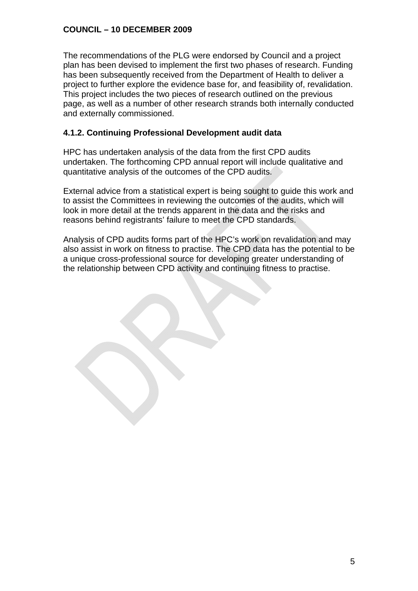The recommendations of the PLG were endorsed by Council and a project plan has been devised to implement the first two phases of research. Funding has been subsequently received from the Department of Health to deliver a project to further explore the evidence base for, and feasibility of, revalidation. This project includes the two pieces of research outlined on the previous page, as well as a number of other research strands both internally conducted and externally commissioned.

# **4.1.2. Continuing Professional Development audit data**

HPC has undertaken analysis of the data from the first CPD audits undertaken. The forthcoming CPD annual report will include qualitative and quantitative analysis of the outcomes of the CPD audits.

External advice from a statistical expert is being sought to guide this work and to assist the Committees in reviewing the outcomes of the audits, which will look in more detail at the trends apparent in the data and the risks and reasons behind registrants' failure to meet the CPD standards.

Analysis of CPD audits forms part of the HPC's work on revalidation and may also assist in work on fitness to practise. The CPD data has the potential to be a unique cross-professional source for developing greater understanding of the relationship between CPD activity and continuing fitness to practise.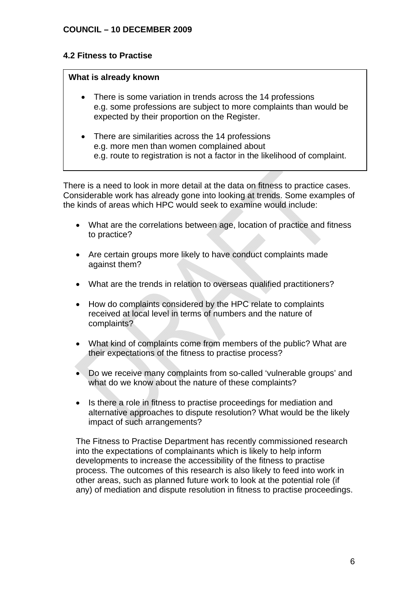# **4.2 Fitness to Practise**

## **What is already known**

- There is some variation in trends across the 14 professions e.g. some professions are subject to more complaints than would be expected by their proportion on the Register.
- There are similarities across the 14 professions e.g. more men than women complained about e.g. route to registration is not a factor in the likelihood of complaint.

There is a need to look in more detail at the data on fitness to practice cases. Considerable work has already gone into looking at trends. Some examples of the kinds of areas which HPC would seek to examine would include:

- What are the correlations between age, location of practice and fitness to practice?
- Are certain groups more likely to have conduct complaints made against them?
- What are the trends in relation to overseas qualified practitioners?
- How do complaints considered by the HPC relate to complaints received at local level in terms of numbers and the nature of complaints?
- What kind of complaints come from members of the public? What are their expectations of the fitness to practise process?
- Do we receive many complaints from so-called 'vulnerable groups' and what do we know about the nature of these complaints?
- Is there a role in fitness to practise proceedings for mediation and alternative approaches to dispute resolution? What would be the likely impact of such arrangements?

The Fitness to Practise Department has recently commissioned research into the expectations of complainants which is likely to help inform developments to increase the accessibility of the fitness to practise process. The outcomes of this research is also likely to feed into work in other areas, such as planned future work to look at the potential role (if any) of mediation and dispute resolution in fitness to practise proceedings.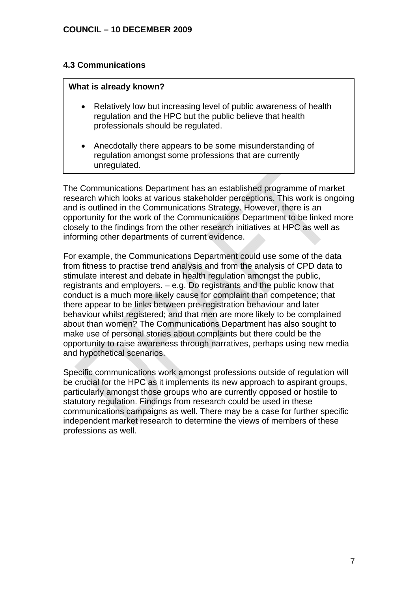## **4.3 Communications**

#### **What is already known?**

- Relatively low but increasing level of public awareness of health regulation and the HPC but the public believe that health professionals should be regulated.
- Anecdotally there appears to be some misunderstanding of regulation amongst some professions that are currently unregulated.

The Communications Department has an established programme of market research which looks at various stakeholder perceptions. This work is ongoing and is outlined in the Communications Strategy. However, there is an opportunity for the work of the Communications Department to be linked more closely to the findings from the other research initiatives at HPC as well as informing other departments of current evidence.

For example, the Communications Department could use some of the data from fitness to practise trend analysis and from the analysis of CPD data to stimulate interest and debate in health regulation amongst the public, registrants and employers. – e.g. Do registrants and the public know that conduct is a much more likely cause for complaint than competence; that there appear to be links between pre-registration behaviour and later behaviour whilst registered; and that men are more likely to be complained about than women? The Communications Department has also sought to make use of personal stories about complaints but there could be the opportunity to raise awareness through narratives, perhaps using new media and hypothetical scenarios.

Specific communications work amongst professions outside of regulation will be crucial for the HPC as it implements its new approach to aspirant groups, particularly amongst those groups who are currently opposed or hostile to statutory regulation. Findings from research could be used in these communications campaigns as well. There may be a case for further specific independent market research to determine the views of members of these professions as well.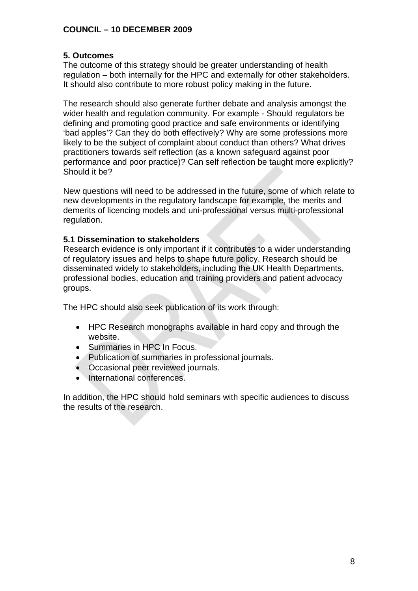## **5. Outcomes**

The outcome of this strategy should be greater understanding of health regulation – both internally for the HPC and externally for other stakeholders. It should also contribute to more robust policy making in the future.

The research should also generate further debate and analysis amongst the wider health and regulation community. For example - Should regulators be defining and promoting good practice and safe environments or identifying 'bad apples'? Can they do both effectively? Why are some professions more likely to be the subject of complaint about conduct than others? What drives practitioners towards self reflection (as a known safeguard against poor performance and poor practice)? Can self reflection be taught more explicitly? Should it be?

New questions will need to be addressed in the future, some of which relate to new developments in the regulatory landscape for example, the merits and demerits of licencing models and uni-professional versus multi-professional regulation.

#### **5.1 Dissemination to stakeholders**

Research evidence is only important if it contributes to a wider understanding of regulatory issues and helps to shape future policy. Research should be disseminated widely to stakeholders, including the UK Health Departments, professional bodies, education and training providers and patient advocacy groups.

The HPC should also seek publication of its work through:

- HPC Research monographs available in hard copy and through the website.
- Summaries in HPC In Focus.
- Publication of summaries in professional journals.
- Occasional peer reviewed journals.
- International conferences.

In addition, the HPC should hold seminars with specific audiences to discuss the results of the research.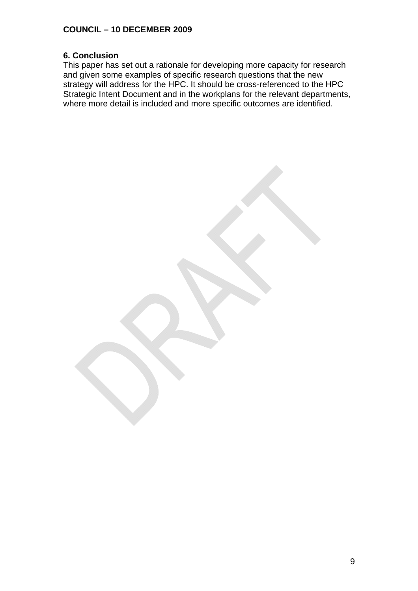## **6. Conclusion**

This paper has set out a rationale for developing more capacity for research and given some examples of specific research questions that the new strategy will address for the HPC. It should be cross-referenced to the HPC Strategic Intent Document and in the workplans for the relevant departments, where more detail is included and more specific outcomes are identified.